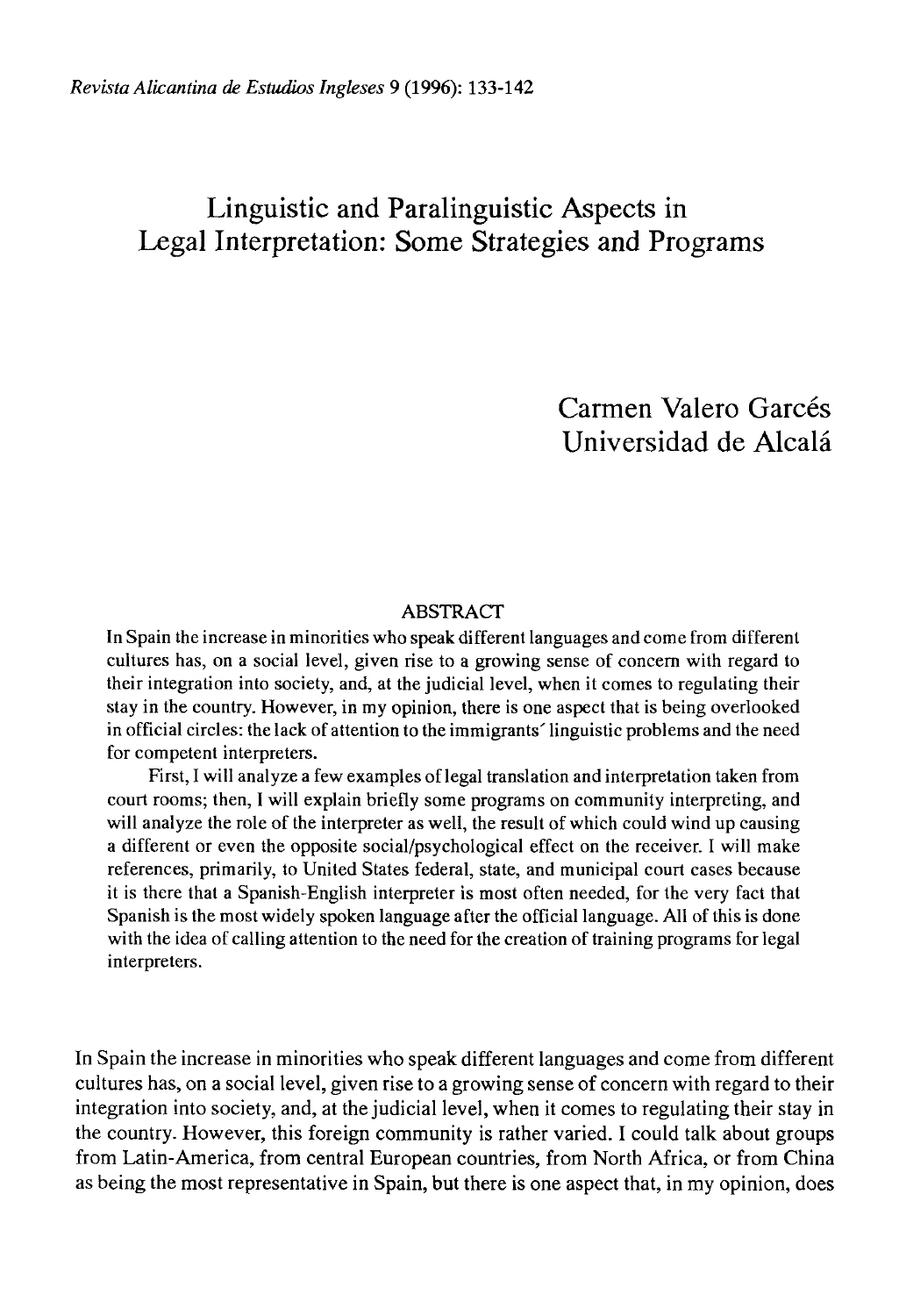## Linguistic and Paralinguistic Aspects in Legal Interpretation: Some Strategies and Programs

Carmen Valero Garcés Universidad de Alcalá

## **ABSTRACT**

In Spain the increase in minorities who speak different languages and come from different cultures has, on a social level, given rise to a growing sense of concern with regard to their integration into society, and, at the judicial level, when it comes to regulating their stay in the country. However, in my opinión, there is one aspect that is being overlooked in official circles: the lack of attention to the immigrants' linguistic problems and the need for competent interpreters.

First, I will analyze a few examples of legal translation and interpretation taken from court rooms; then, I will explain briefly some programs on community interpreting, and will analyze the role of the interpreter as well, the result of which could wind up causing a different or even the opposite social/psychological effect on the receiver. I will make references, primarily, to United States federal, state, and municipal court cases because it is there that a Spanish-English interpreter is most often needed, for the very fact that Spanish is the most widely spoken language after the official language. All of this is done with the idea of calling attention to the need for the creation of training programs for legal interpreters.

In Spain the increase in minorities who speak different languages and come from different cultures has, on a social level, given rise to a growing sense of concern with regard to their integration into society, and, at the judicial level, when it comes to regulating their stay in the country. However, this foreign community is rather varied. I could talk about groups from Latin-America, from central European countries, from North África, or from China as being the most representative in Spain, but there is one aspect that, in my opinión, does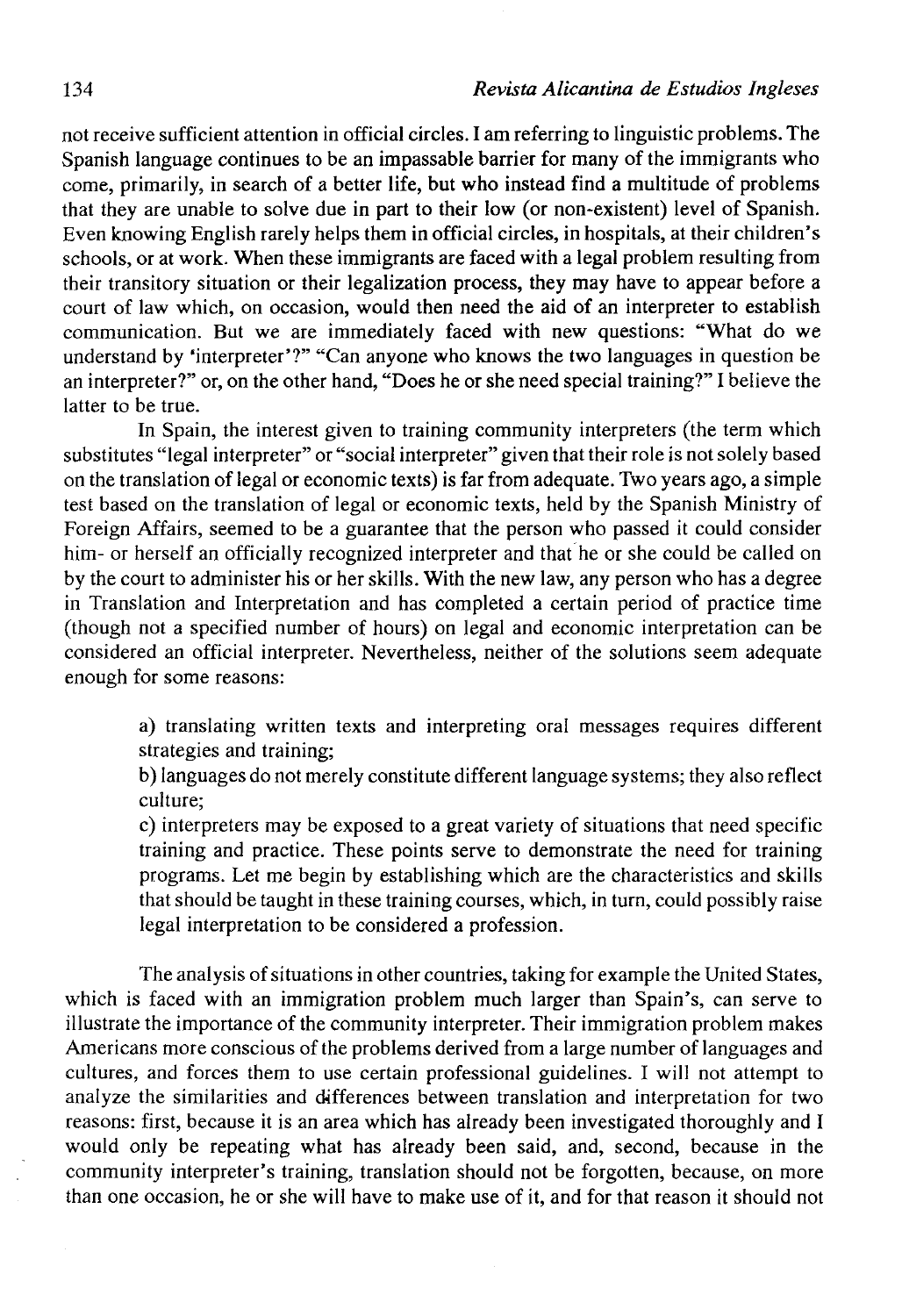not receive sufficient attention in official circles. I am referring to linguistic problems. The Spanish language continues to be an impassable barrier for many of the immigrants who come, primarily, in search of a better life, but who instead find a multitude of problems that they are unable to solve due in part to their low (or non-existent) level of Spanish. Even knowing English rarely helps them in official circles, in hospitals, at their children's schools, or at work. When these immigrants are faced with a legal problem resulting from their transitory situation or their legalization process, they may have to appear before a court of law which, on occasion, would then need the aid of an interpreter to establish communication. But we are immediately faced with new questions: "What do we understand by 'interpreter'?" "Can anyone who knows the two languages in question be an interpreter?" or, on the other hand, "Does he or she need special training?" I believe the latter to be true.

In Spain, the interest given to training community interpreters (the term which substitutes "legal interpreter" or "social interpreter" given that their role is not solely based on the translation of legal or economic texts) is far from adequate. Two years ago, a simple test based on the translation of legal or economic texts, held by the Spanish Ministry of Foreign Affairs, seemed to be a guarantee that the person who passed it could consider him- or herself an officially recognized interpreter and that he or she could be called on by the court to administer his or her skills. With the new law, any person who has a degree in Translation and Interpretation and has completed a certain period of practice time (though not a specified number of hours) on legal and economic interpretation can be considered an official interpreter. Nevertheless, neither of the solutions seem adequate enough for some reasons:

> a) translating written texts and interpreting oral messages requires different strategies and training;

> b) languages do not merely constitute different language systems; they also reflect culture;

> c) interpreters may be exposed to a great variety of situations that need specific training and practice. These points serve to demónstrate the need for training programs. Let me begin by establishing which are the characteristics and skills that should be taught in these training courses, which, in turn, could possibly raise legal interpretation to be considered a profession.

The analysis of situations in other countries, taking for example the United States, which is faced with an immigration problem much larger than Spain's, can serve to illustrate the importance of the community interpreter. Their immigration problem makes Americans more conscious of the problems derived from a large number of languages and cultures, and forces them to use certain professional guidelines. I will not attempt to analyze the símilarities and differences between translation and interpretation for two reasons: first, because it is an area which has already been investigated thoroughly and I would only be repeating what has already been said, and, second, because in the community interpreter's training, translation should not be forgotten, because, on more than one occasion, he or she will have to make use of it, and for that reason it should not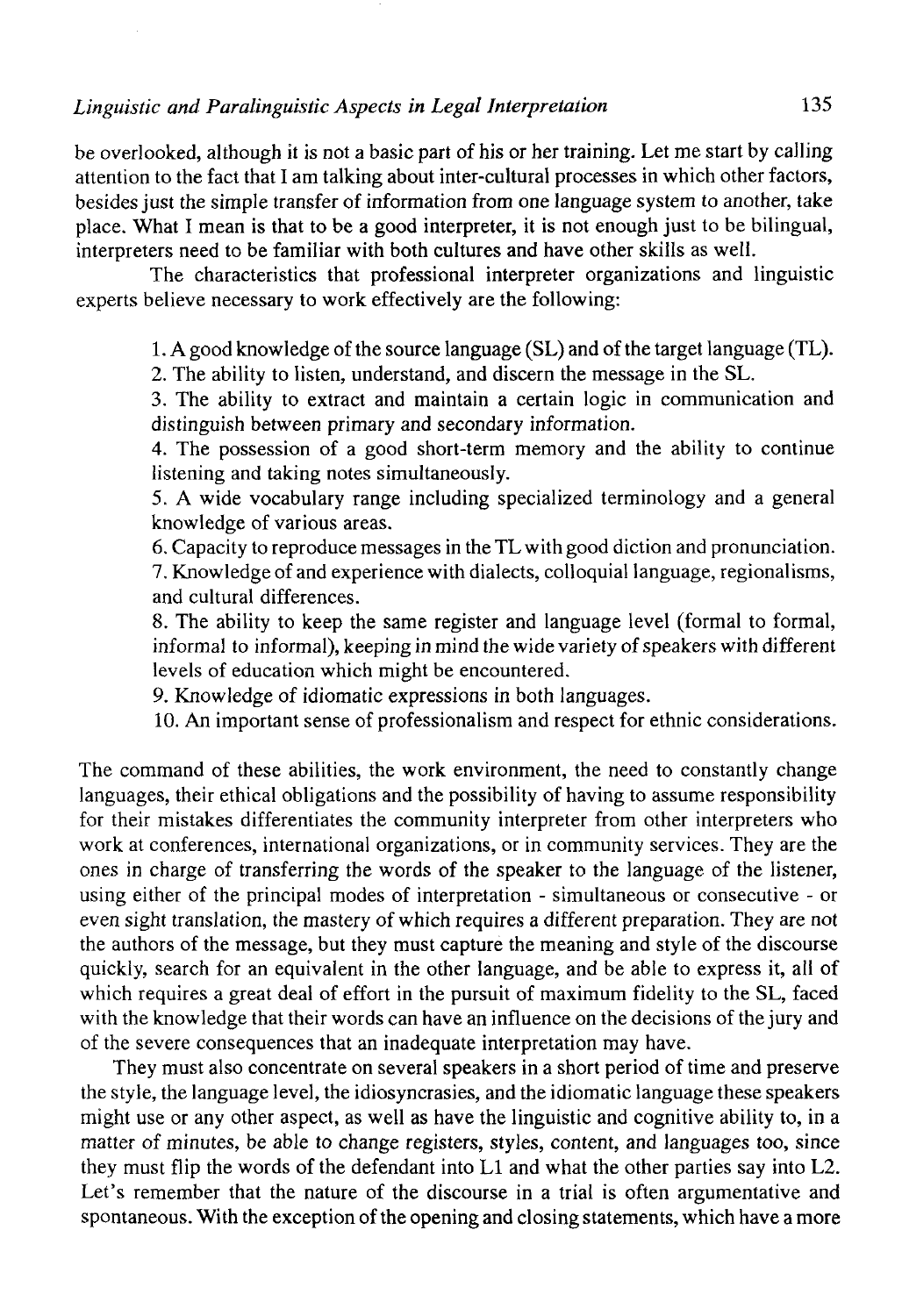## *Linguistic and Paralinguistic Aspects in Legal Interpretaíion* 135

be overlooked, although it is not a basic part of his or her training. Let me start by calling attention to the fact that I am talking about inter-cultural processes in which other factors, besides just the simple transfer of information from one language system to another, take place. What I mean is that to be a good interpreter, it is not enough just to be bilingual, interpreters need to be familiar with both cultures and have other skills as well.

The characteristics that professional interpreter organizations and linguistic experts believe necessary to work effectively are the following:

1. A good knowledge of the source language (SL) and of the target language (TL).

2. The ability to listen, understand, and discern the message in the SL.

3. The ability to extract and maintain a certain logic in communication and distinguish between primary and secondary information.

4. The possession of a good short-term memory and the ability to continué listening and taking notes simultaneously.

5. A wide vocabulary range including specialized terminology and a general knowledge of various areas.

6. Capacity to reproduce messages in the TL with good diction and pronunciation. 7. Knowledge of and experience with dialects, colloquial language, regionalisms, and cultural differences.

8. The ability to keep the same register and language level (formal to formal, informal to informal), keeping in mind the wide variety of speakers with different levels of education which might be encountered.

9. Knowledge of idiomatic expressions in both languages.

10. An important sense of professionalism and respect for ethnic considerations.

The command of these abilities, the work environment, the need to constantly change languages, their ethical obligations and the possibility of having to assume responsibility for their mistakes differentiates the community interpreter from other interpreters who work at conferences, international organizations, or in community services. They are the ones in charge of transferring the words of the speaker to the language of the listener, using either of the principal modes of interpretation - simultaneous or consecutive - or even sight translation, the mastery of which requires a different preparation. They are not the authors of the message, but they must capture the meaning and style of the discourse quickly, search for an equivalent in the other language, and be able to express it, all of which requires a great deal of effort in the pursuit of maximum fidelity to the SL, faced with the knowledge that their words can have an influence on the decisions of the jury and of the severe consequences that an inadequate interpretation may have.

They must also concentrate on several speakers in a short period of time and preserve the style, the language level, the idiosyncrasies, and the idiomatic language these speakers might use or any other aspect, as well as have the linguistic and cognitive ability to, in a matter of minutes, be able to change registers, styles, contení, and languages too, since they must flip the words of the defendant into Ll and what the other parties say into L2. Let's remember that the nature of the discourse in a trial is often argumentative and spontaneous. With the exception of the opening and closing statements, which have a more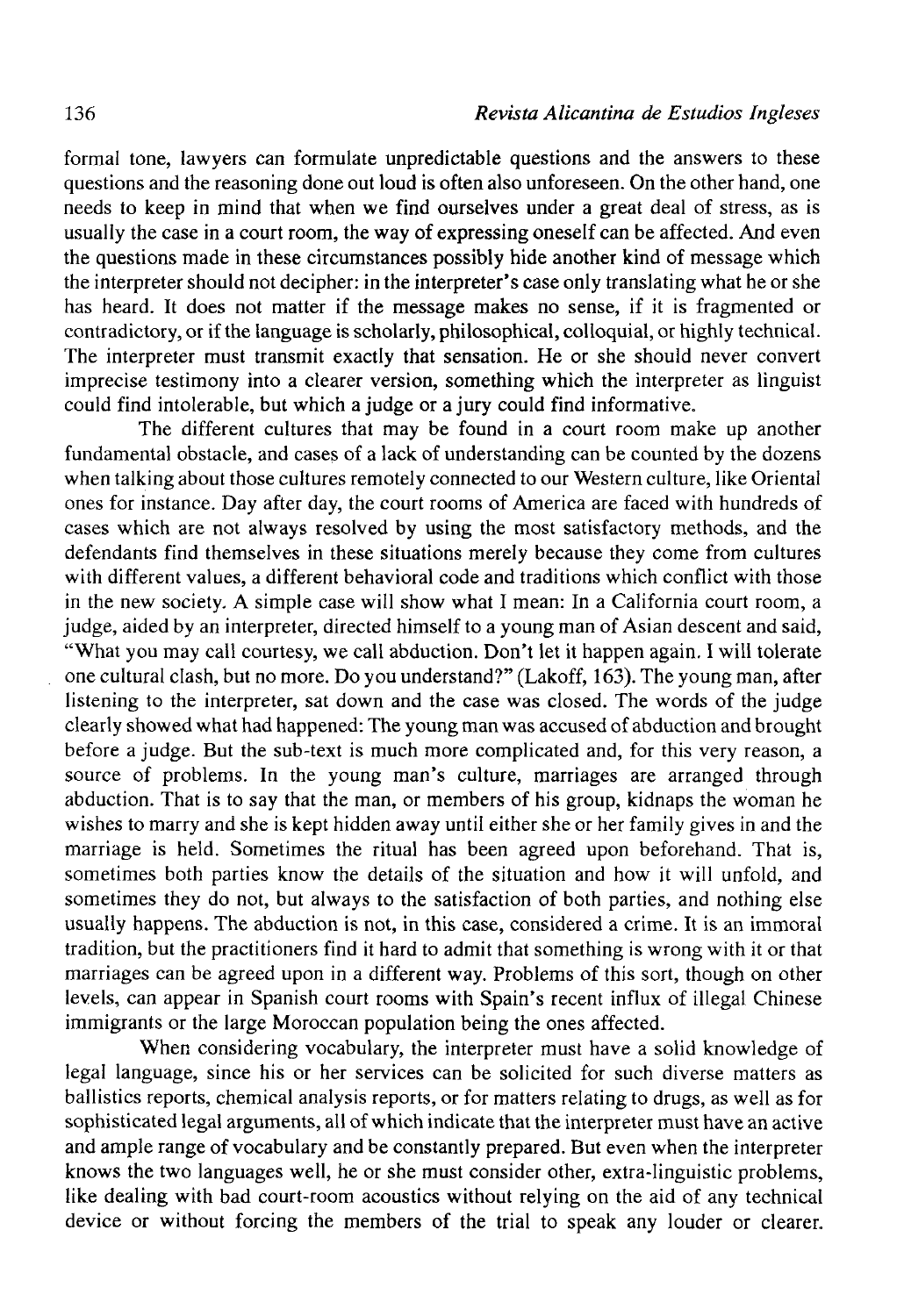formal tone, lawyers can formúlate unpredictable questions and the answers to these questions and the reasoning done out loud is often also unforeseen. On the other hand, one needs to keep in mind that when we find ourselves under a great deal of stress, as is usually the case in a court room, the way of expressing oneself can be affected. And even the questions made in these circumstances possibly hide another kind of message which the interpreter should not decipher: in the interpreter's case only translating what he or she has heard. It does not matter if the message makes no sense, if it is fragmented or contradictory, or if the language is scholarly, philosophical, colloquial, or highly technical. The interpreter must transmit exactly that sensation. He or she should never convert imprecise testimony into a clearer version, something which the interpreter as linguist could find intolerable, but which a judge or a jury could find informative.

The different cultures that may be found in a court room make up another fundamental obstacle, and cases of a lack of understanding can be counted by the dozens when talking about those cultures remotely connected to our Western culture, like Oriental ones for instance. Day after day, the court rooms of America are faced with hundreds of cases which are not always resolved by using the most satisfactory methods, and the defendants find themselves in these situations merely because they come from cultures with different values, a different behavioral code and traditions which conflict with those in the new society. A simple case will show what I mean: In a California court room, a judge, aided by an interpreter, directed himself to a young man of Asian descent and said, "What you may cali courtesy, we cali abduction. Don't let it happen again. I will tolérate one cultural clash, but no more. Do you understand?" (Lakoff, 163). The young man, after listening to the interpreter, sat down and the case was closed. The words of the judge clearly showed what had happened: The young man was accused of abduction and brought before a judge. But the sub-text is much more complicated and, for this very reason, a source of problems. In the young man's culture, marriages are arranged through abduction. That is to say that the man, or members of his group, kidnaps the woman he wishes to marry and she is kept hidden away until either she or her family gives in and the marriage is held. Sometimes the ritual has been agreed upon beforehand. That is, sometimes both parties know the details of the situation and how it will unfold, and sometimes they do not, but always to the satisfaction of both parties, and nothing else usually happens. The abduction is not, in this case, considered a crime. It is an immoral tradition, but the practitíoners find it hard to admit that something is wrong with it or that marriages can be agreed upon in a different way. Problems of this sort, though on other levels, can appear in Spanish court rooms with Spain's recent influx of illegal Chinese immigrants or the large Moroccan population being the ones affected.

When considering vocabulary, the interpreter must have a solid knowledge of legal language, since his or her services can be solicited for such diverse matters as ballistics reports, chemical analysis reports, or for matters relating to drugs, as well as for sophisticated legal arguments, all of which indícate that the interpreter must have an active and ampie range of vocabulary and be constantly prepared. But even when the interpreter knows the two languages well, he or she must consider other, extra-linguistic problems, like dealing with bad court-room acoustics without relying on the aid of any technical device or without forcing the members of the trial to speak any louder or clearer.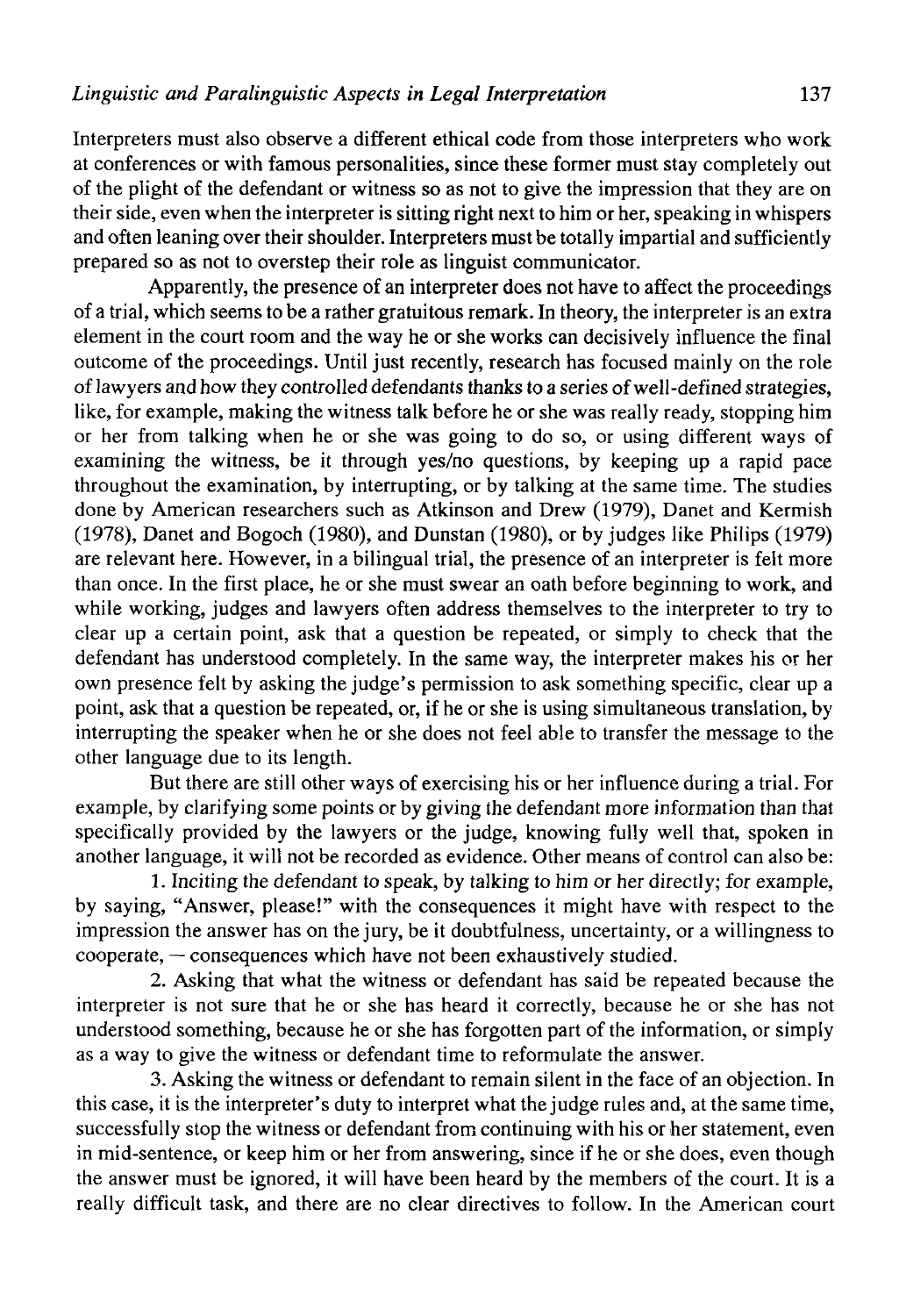Interpreters must also observe a different ethical code from those interpreters who work at conferences or with famous personalities, since these former must stay completely out of the plight of the defendant or witness so as not to give the impression that they are on their side, even when the interpreter is sitting right next to him or her, speaking in whispers and often leaning over their shoulder. Interpreters must be totally impartial and sufficiently prepared so as not to overstep their role as linguist communicator.

Apparently, the presence of an interpreter does not have to affect the proceedings of a trial, which seems to be a rather gratuitous remark. In theory, the interpreter is an extra element in the court room and the way he or she works can decisively influence the final outcome of the proceedings. Until just recently, research has focused mainly on the role of lawyers and how they controlled defendants thanks to a series of well-defined strategies, like, for example, making the witness talk before he or she was really ready, stopping him or her from talking when he or she was going to do so, or using different ways of examining the witness, be it through yes/no questions, by keeping up a rapid pace throughout the examination, by interrupting, or by talking at the same time. The studies done by American researchers such as Atkinson and Drew (1979), Danet and Kermish (1978), Danet and Bogoch (1980), and Dunstan (1980), or by judges like Philips (1979) are relevant here. However, in a bilingual trial, the presence of an interpreter is felt more than once. In the first place, he or she must swear an oath before beginning to work, and while working, judges and lawyers often address themselves to the interpreter to try to clear up a certain point, ask that a question be repeated, or simply to check that the defendant has understood completely. In the same way, the interpreter makes his or her own presence felt by asking the judge's permission to ask something specific, clear up a point, ask that a question be repeated, or, if he or she is using simultaneous translation, by interrupting the speaker when he or she does not feel able to transfer the message to the other language due to its length.

But there are still other ways of exercising his or her influence during a trial. For example, by clarifying some points or by giving the defendant more information than that specifically provided by the lawyers or the judge, knowing fully well that, spoken in another language, it will not be recorded as evidence. Other means of control can also be:

1. Inciting the defendant to speak, by talking to him or her directly; for example, by saying, "Answer, please!" with the consequences it might have with respect to the impression the answer has on the jury, be it doubtfulness, uncertainty, or a willingness to cooperate, — consequences which have not been exhaustively studied.

2. Asking that what the witness or defendant has said be repeated because the interpreter is not sure that he or she has heard it correctly, because he or she has not understood something, because he or she has forgotten part of the information, or simply as a way to give the witness or defendant time to reformulate the answer.

3. Asking the witness or defendant to remain silent in the face of an objection. In this case, it is the interpreter's duty to interpret what the judge rules and, at the same time, successfully stop the witness or defendant from continuing with his or her statement, even in mid-sentence, or keep him or her from answering, since if he or she does, even though the answer must be ignored, it will have been heard by the members of the court. It is a really difficult task, and there are no clear directives to follow. In the American court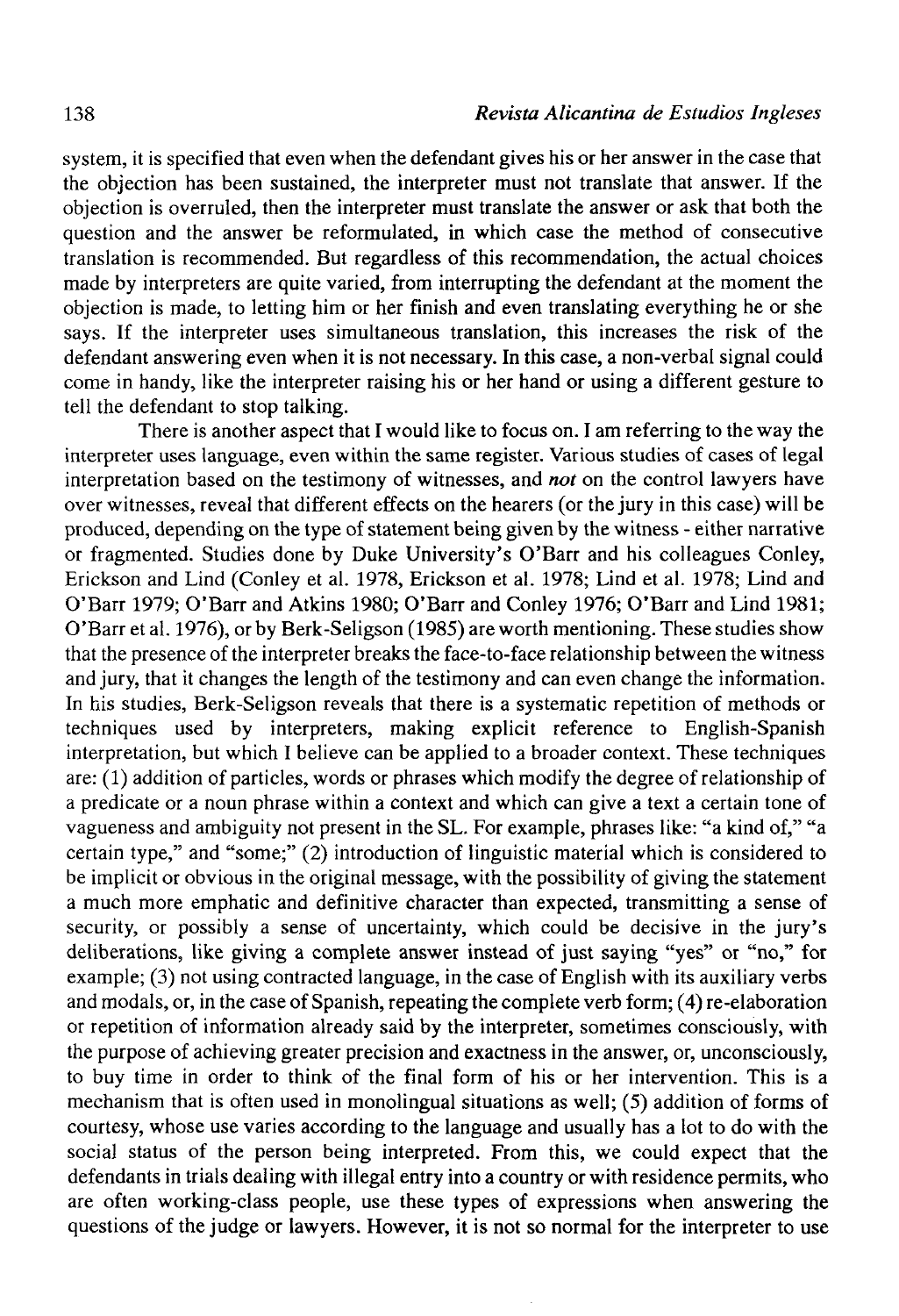system, it is specified that even when the defendant gives his or her answer in the case that the objection has been sustained, the interpreter must not transíate that answer. If the objection is overruled, then the interpreter must transíate the answer or ask that both the question and the answer be reformulated, in which case the method of consecutive translation is recommended. But regardless of this recommendation, the actual choices made by interpreters are quite varied, from interrupting the defendant at the moment the objection is made, to letting him or her finish and even translating everything he or she says. If the interpreter uses simultaneous translation, this increases the risk of the defendant answering even when it is not necessary. In this case, a non-verbal signal could come in handy, like the interpreter raising his or her hand or using a different gesture to tell the defendant to stop talking.

There is another aspect that I would like to focus on. I am referring to the way the interpreter uses language, even within the same register. Various studies of cases of legal interpretation based on the testimony of witnesses, and *not* on the control lawyers have over witnesses, reveal that different effects on the hearers (or the jury in this case) will be produced, depending on the type of statement being given by the witness - either narrative or fragmented. Studies done by Duke University's O'Barr and his colleagues Conley, Erickson and Lind (Conley et al. 1978, Erickson et al. 1978; Lind et al. 1978; Lind and O'Barr 1979; O'Barr and Atkins 1980; O'Barr and Conley 1976; O'Barr and Lind 1981; O'Barr et al. 1976), or by Berk-Seligson (1985) are worth mentioning. These studies show that the presence of the interpreter breaks the face-to-face relationship between the witness and jury, that it changes the length of the testimony and can even change the information. In his studies, Berk-Seligson reveals that there is a systematic repetition of methods or techniques used by interpreters, making explicit reference to English-Spanish interpretation, but which I believe can be applied to a broader context. These techniques are:  $(1)$  addition of particles, words or phrases which modify the degree of relationship of a predícate or a noun phrase within a context and which can give a text a certain tone of vagueness and ambiguity not present in the SL. For example, phrases like: "a kind of," "a certain type," and "some;" (2) introduction of linguistic material which is considered to be implicit or obvious in the original message, with the possibility of giving the statement a much more emphatic and definitive character than expected, transmitting a sense of security, or possibly a sense of uncertainty, which could be decisive in the jury's deliberations, like giving a complete answer instead of just saying "yes" or "no," for example; (3) not using contracted language, in the case of English with its auxiliary verbs and modals, or, in the case of Spanish, repeating the complete verb form; (4) re-elaboration or repetition of information already said by the interpreter, sometimes consciously, with the purpose of achieving greater precisión and exactness in the answer, or, unconsciously, to buy time in order to think of the final form of his or her intervention. This is a mechanism that is often used in monolingual situations as well; (5) addition of forms of courtesy, whose use varíes according to the language and usually has a lot to do with the social status of the person being interpreted. From this, we could expect that the defendants in trials dealing with illegal entry into a country or with residence permits, who are often working-class people, use these types of expressions when answering the questions of the judge or lawyers. However, it is not so normal for the interpreter to use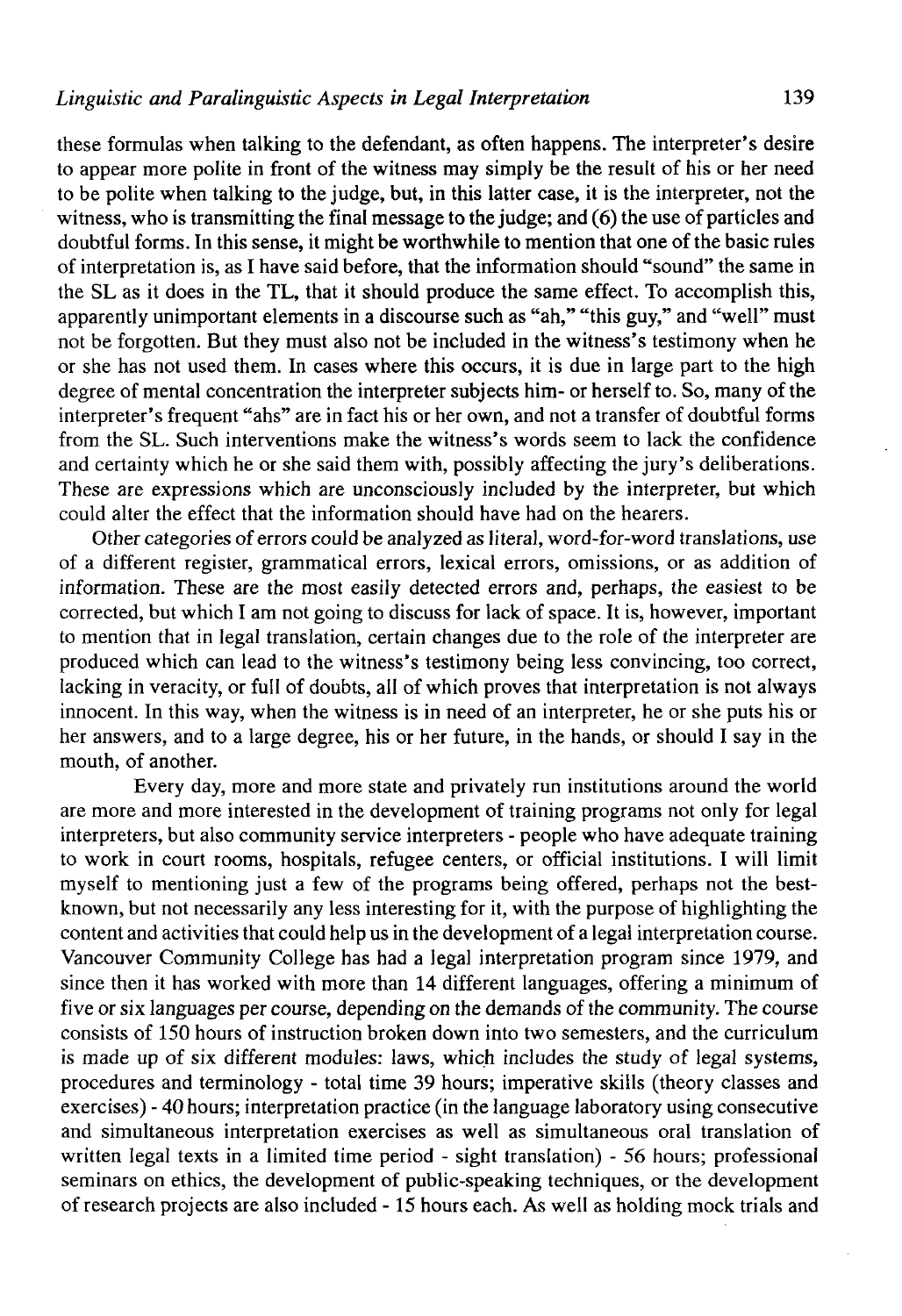these formulas when talking to the defendant, as often happens. The interpreter's desire to appear more polite in front of the witness may simply be the result of his or her need to be polite when talking to the judge, but, in this latter case, it is the interpreter, not the witness, who is transmitting the final message to the judge; and  $(6)$  the use of particles and doubtful forms. In this sense, it might be worthwhile to mention that one of the basic rules of interpretation is, as I have said before, that the information should "sound" the same in the SL as it does in the TL, that it should produce the same effect. To accomplish this, apparently unimportant elements in a discourse such as "ah," "this guy," and "well" must not be forgotten. But they must also not be included in the witness's testimony when he or she has not used them. In cases where this occurs, it is due in large part to the high degree of mental concentration the interpreter subjects him- or herself to. So, many of the interpreter's frequent "ahs" are in fact his or her own, and not a transfer of doubtful forms from the SL. Such interventions make the witness's words seem to lack the confidence and certainty which he or she said them with, possibly affecting the jury's deliberations. These are expressions which are unconsciously included by the interpreter, but which could alter the effect that the information should have had on the hearers.

Other categories of errors could be analyzed as literal, word-for-word translations, use of a different register, grammatical errors, lexical errors, omissions, or as addition of information. These are the most easily detected errors and, perhaps, the easiest to be corrected, but which I am not going to discuss for lack of space. It is, however, important to mention that in legal translation, certain changes due to the role of the interpreter are produced which can lead to the witness's testimony being less convincing, too correct, lacking in veracity, or full of doubts, all of which proves that interpretation is not always innocent. In this way, when the witness is in need of an interpreter, he or she puts his or her answers, and to a large degree, his or her future, in the hands, or should I say in the mouth, of another.

Every day, more and more state and privately run institutions around the world are more and more interested in the development of training programs not only for legal interpreters, but also community service interpreters - people who have adequate training to work in court rooms, hospitals, refugee centers, or official institutions. I will limit myself to mentioning just a few of the programs being offered, perhaps not the bestknown, but not necessarily any less interesting for it, with the purpose of highlighting the contení and activities that could help us in the development of a legal interpretation course. Vancouver Community College has had a legal interpretation program since 1979, and since then it has worked with more than 14 different languages, offering a mínimum of five or six languages per course, depending on the demands of the community. The course consists of 150 hours of instruction broken down into two semesters, and the curriculum is made up of six different modules: laws, which includes the study of legal systems, procedures and terminology - total time 39 hours; imperative skills (theory classes and exercises) - 40 hours; interpretation practice (in the language laboratory using consecutive and simultaneous interpretation exercises as well as simultaneous oral translation of written legal texts in a limited time period - sight translation) - 56 hours; professional seminars on ethics, the development of public-speaking techniques, or the development of research projects are also included -15 hours each. As well as holding mock triáis and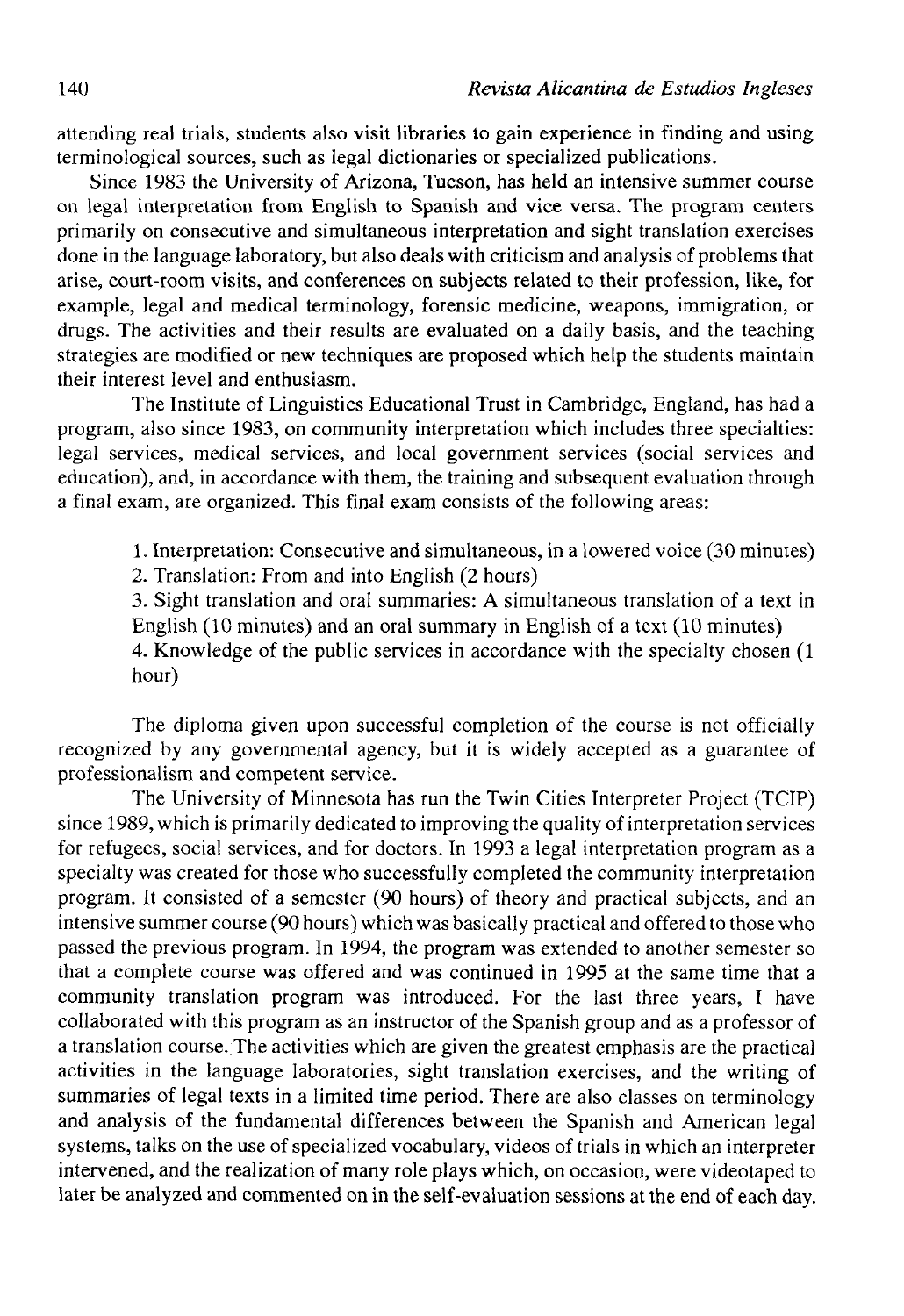attending real trials, students also visit libraries to gain experience in finding and using terminological sources, such as legal dictionaries or specialized publications.

Since 1983 the University of Arizona, Tucson, has held an intensive summer course on legal interpretation from English to Spanish and vice versa. The program centers primarily on consecutive and simultaneous interpretation and sight translation exercises done in the language laboratory, but also dealswith criticism and analysis of problems that arise, court-room visits, and conferences on subjects related to their profession, like, for example, legal and medical terminology, forensic medicine, weapons, immigration, or drugs. The activities and their results are evaluated on a daily basis, and the teaching strategies are modified or new techniques are proposed which help the students maintain their interest level and enthusiasm.

The Institute of Linguistics Educational Trust in Cambridge, England, has had a program, also since 1983, on community interpretation which includes three specialties: legal services, medical services, and local government services (social services and education), and, in accordance with them, the training and subsequent evaluation through a final exam, are organized. This final exam consists of the following areas:

1. Interpretation: Consecutive and simultaneous, in a lowered voice (30 minutes)

2. Translation: From and into English (2 hours)

3. Sight translation and oral summaries: A simultaneous translation of a text in English (10 minutes) and an oral summary in English of a text (10 minutes)

4. Knowledge of the public services in accordance with the specialty chosen (1 hour)

The diploma given upon successful completion of the course is not officially recognized by any governmental agency, but it is widely accepted as a guarantee of professionalism and competent service.

The University of Minnesota has run the Twin Cities Interpreter Project (TCIP) since 1989, which is primarily dedicated to improvíng the quality of interpretation services for refugees, social services, and for doctors. In 1993 a legal interpretation program as a specialty was created for those who successfully completed the community interpretation program. It consisted of a semester (90 hours) of theory and practical subjects, and an intensive summer course (90 hours) which was basically practical and offered to those who passed the previous program. In 1994, the program was extended to another semester so that a complete course was offered and was continued in 1995 at the same time that a community translation program was introduced. For the last three years, I have collaborated with this program as an instructor of the Spanish group and as a professor of a translation course. The activities which are given the greatest emphasis are the practical activities in the language laboratories, sight translation exercises, and the writing of summaries of legal texts in a limited time period. There are also classes on terminology and analysis of the fundamental differences between the Spanish and American legal systems, talks on the use of specialized vocabulary, videos of trials in which an interpreter intervened, and the realization of many role plays which, on occasion, were videotaped to later be analyzed and commented on in the self-evaluation sessions at the end of each day.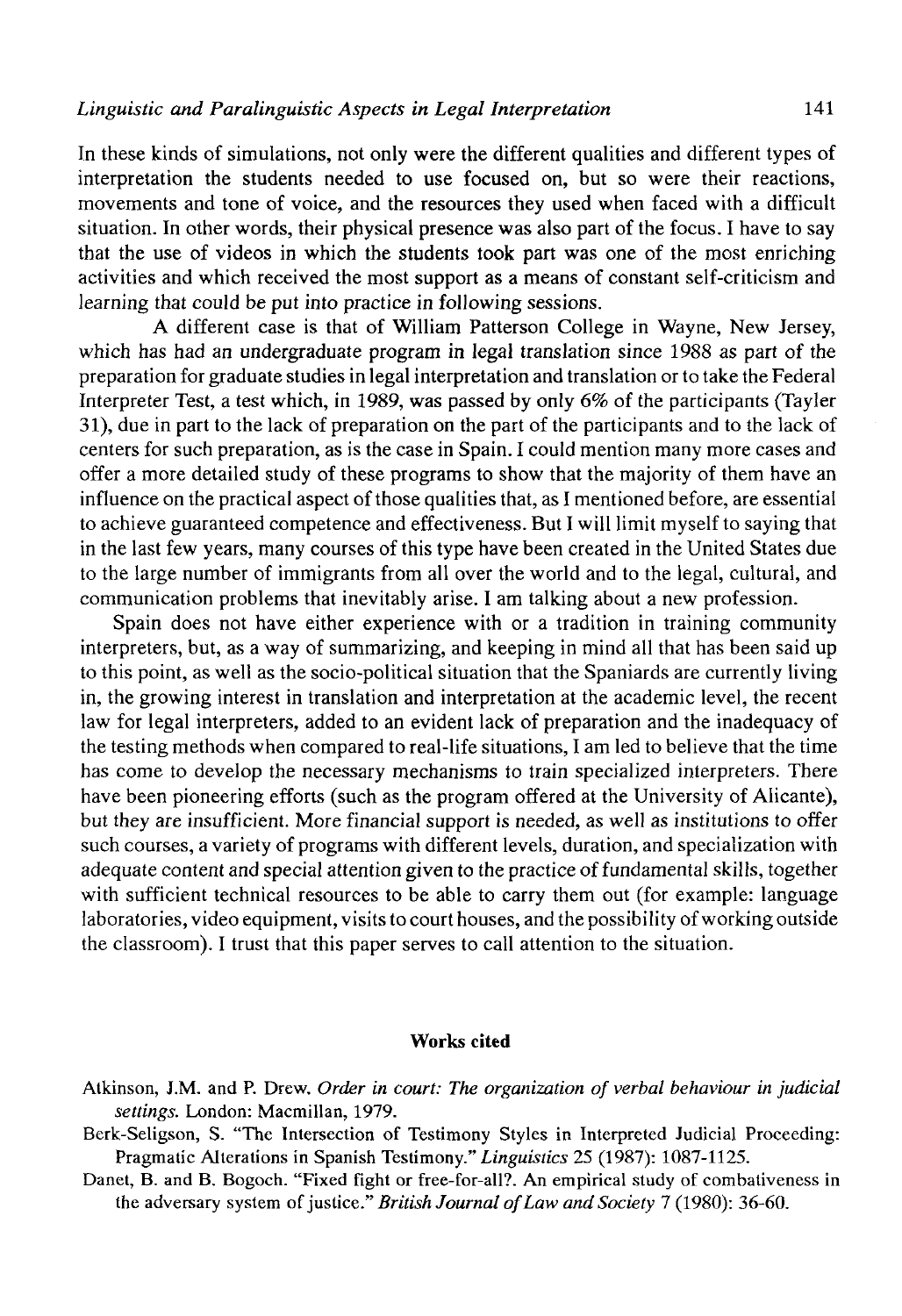In these kinds of simulations, not only were the different qualities and different types of interpretation the students needed to use focused on, but so were their reactions, movements and tone of voice, and the resources they used when faced with a difficult situation. In other words, their physical presence was also part of the focus. I have to say that the use of videos in which the students took part was one of the most enriching activities and which received the most support as a means of constant self-criticism and learning that could be put into practice in following sessions.

A different case is that of William Patterson College in Wayne, New Jersey, which has had an undergraduate program in legal translation since 1988 as part of the preparation for gradúate studies in legal interpretation and translation or to take the Federal Interpreter Test, a test which, in 1989, was passed by only 6% of the participants (Tayler 31), due in part to the lack of preparation on the part of the participants and to the lack of centers for such preparation, as is the case in Spain. I could mention many more cases and offer a more detailed study of these programs to show that the majority of them have an influence on the practical aspect of those qualities that, as I mentioned before, are essential to achieve guaranteed competence and effectiveness. But I will limit myself to saying that in the last few years, many courses of this type have been created in the United States due to the large number of immigrants from all over the world and to the legal, cultural, and communication problems that inevitably arise. I am talking about a new profession.

Spain does not have either experience with or a tradition in training community interpreters, but, as a way of summarizing, and keeping in mind all that has been said up to this point, as well as the socio-political situation that the Spaniards are currently living in, the growing interest in translation and interpretation at the academic level, the recent law for legal interpreters, added to an evident lack of preparation and the inadequacy of the testing methods when compared to real-life situations, I am led to believe that the time has come to develop the necessary mechanisms to train specialized interpreters. There have been pioneering efforts (such as the program offered at the University of Alicante), but they are insufficient. More financial support is needed, as well as institutions to offer such courses, a variety of programs with different levels, duration, and specialization with adequate content and special attention given to the practice of fundamental skills, together with sufficient technical resources to be able to carry them out (for example: language laboratories, video equipment, visits to court houses, and the possibility of working outside the classroom). I trust that this paper serves to cali attention to the situation.

## Works cited

- Atkinson, J.M. and P. Drew. *Order in court: The organization of verbal behaviour in judicial settings.* London: Macmillan, 1979.
- Berk-Seligson, S. "The Intersection of Testimony Styles in Interpreted Judicial Proceeding: Pragmatic Alterations in Spanish Testimony." *Linguistics* 25 (1987): 1087-1125.
- Danet, B. and B. Bogoch. "Fixed fight or free-for-all?. An empirical study of combativeness in the adversary system of justice." *British Journal ofLaw and Society* 7 (1980): 36-60.